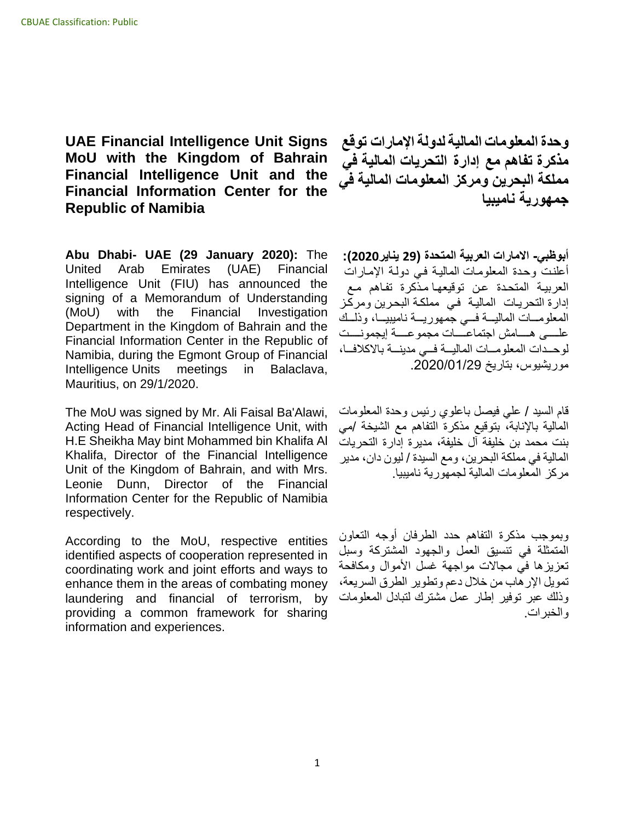**UAE Financial Intelligence Unit Signs MoU with the Kingdom of Bahrain Financial Intelligence Unit and the Financial Information Center for the Republic of Namibia**

**Abu Dhabi- UAE (29 January 2020):** The United Arab Emirates (UAE) Financial Intelligence Unit (FIU) has announced the signing of a Memorandum of Understanding (MoU) with the Financial Investigation Department in the Kingdom of Bahrain and the Financial Information Center in the Republic of Namibia, during the Egmont Group of Financial Intelligence Units meetings in Balaclava, Mauritius, on 29/1/2020.

The MoU was signed by Mr. Ali Faisal Ba'Alawi, Acting Head of Financial Intelligence Unit, with H.E Sheikha May bint Mohammed bin Khalifa Al Khalifa, Director of the Financial Intelligence Unit of the Kingdom of Bahrain, and with Mrs. Leonie Dunn, Director of the Financial Information Center for the Republic of Namibia respectively.

According to the MoU, respective entities identified aspects of cooperation represented in coordinating work and joint efforts and ways to enhance them in the areas of combating money laundering and financial of terrorism, by providing a common framework for sharing information and experiences.

**وحدة المعلومات المالية لدولة اإلمارات توقع مذكرة تفاهم مع إدارة التحريات المالية في مملكة البحرين ومركز المعلومات المالية في جمهورية ناميبيا**

**أبوظبي- االمارات العربية المتحدة )29 يناير2020(:**  أعلنت وحدة المعلومات المالية في دولـة الإمـارات العربية المتحدة عن توقيعها مذكرة تفاهم مع إدار ة التحر بـات الماليـة فـي مملكـة البحر بن و مر كـز المعلومسات الماليسة فسي جمهوريسة ناميبيسا، وذلسك علســي هــــــامش اجتماعــَـــات مجموعـــــة إيجمونـــــت لوحسدات المعلومسات الماليسة فسي مدينسة بالاكلافسا، موريشيوس، بتاريخ 2020/01/29.

قام السيد / علمي فيصل باعلوي رئيس وحدة المعلومات المالية بالإنابة، بتوقيع مذكرة التفاهم مع الشيخة /مي بنت محمد بن خليفة آل خليفة، مدير ة إدار ة التحريات المالية في مملكة البحرين، ومع السيدة / ليون دان، مدير مر كز المعلومات المالية لجمهورية ناميبيا.

وبموجب مذكرة التفاهم حدد الطرفان أوجه التعاون المتمثلة في تنسيق العمل والجهود المشتركة وسبل تعزيزها في مجالات مواجهة غسل الأموال ومكافحة تمويل الإر هاب من خلال دعم وتطوير الطرق السريعة، وذلك عبر توفير إطار عمل مشترك لتبادل المعلومات و الخبر ات.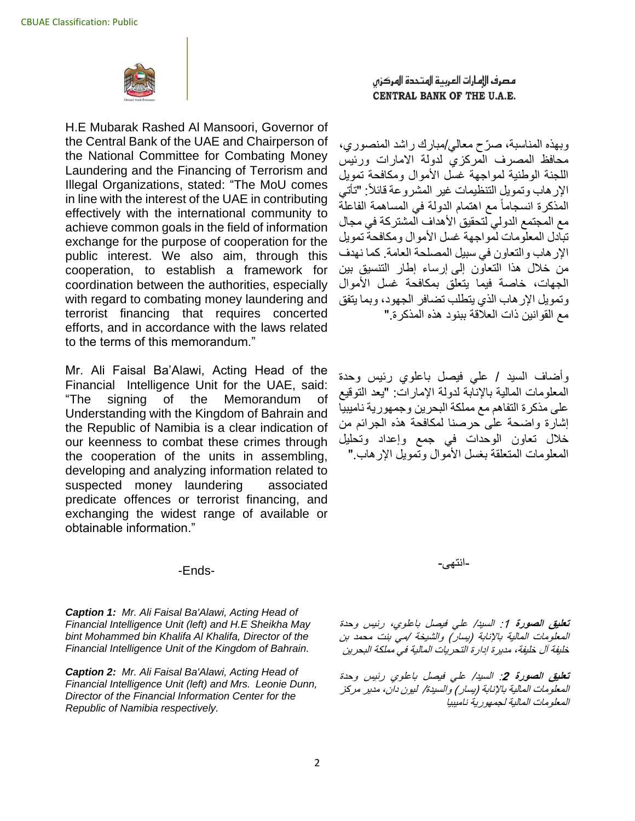

H.E Mubarak Rashed Al Mansoori, Governor of the Central Bank of the UAE and Chairperson of the National Committee for Combating Money Laundering and the Financing of Terrorism and Illegal Organizations, stated: "The MoU comes in line with the interest of the UAE in contributing effectively with the international community to achieve common goals in the field of information exchange for the purpose of cooperation for the public interest. We also aim, through this cooperation, to establish a framework for coordination between the authorities, especially with regard to combating money laundering and terrorist financing that requires concerted efforts, and in accordance with the laws related to the terms of this memorandum."

Mr. Ali Faisal Ba'Alawi, Acting Head of the Financial Intelligence Unit for the UAE, said: "The signing of the Memorandum of Understanding with the Kingdom of Bahrain and the Republic of Namibia is a clear indication of our keenness to combat these crimes through the cooperation of the units in assembling, developing and analyzing information related to suspected money laundering associated predicate offences or terrorist financing, and exchanging the widest range of available or obtainable information."

## -Ends-

*Caption 1: Mr. Ali Faisal Ba'Alawi, Acting Head of Financial Intelligence Unit (left) and H.E Sheikha May bint Mohammed bin Khalifa Al Khalifa, Director of the Financial Intelligence Unit of the Kingdom of Bahrain.*

*Caption 2: Mr. Ali Faisal Ba'Alawi, Acting Head of Financial Intelligence Unit (left) and Mrs. Leonie Dunn, Director of the Financial Information Center for the Republic of Namibia respectively.*

مصرف الامارات العربية المتحدة المركزى CENTRAL BANK OF THE U.A.E.

وبهذه المناسبة، صرّ ح معالى/مبارك راشد المنصوري، محافظ المصرف المركزي لدولة الامارات ورئيس اللجنة الوطنية لمواجهة غسل الأموال ومكافحة تمويل الإر هاب وتمويل التنظيمات غير المشروعة قائلأ: "تأتي المذكر ة انسجاماً مع اهتمام الدولة في المساهمة الفاعلّة مع المجتمع الدولي لتحقيق الأهداف المشتركة في مجال تبادل المعلومات لمواجهة غسل الأموال ومكافحة تمويل الإر هاب والتعاون في سبيل المصلحة العامة. كما نهدف من خلال هذا التعاون إلى إرساء إطار التنسيق بين الجهات، خاصة فيما يتعلق بمكافحة غسل الأموال وتمويل الإر هاب الذي يتطلب تضافر الجهود، وبما يتفق مع القوانين ذات العلاقة ببنو د هذه المذكر ة."

وأضاف السيد / على فيصل باعلوي رئيس وحدة المعلومات المالية بالإنابة لدولة الإمارات: "بعد التوقيع على مذكرة التفاهم مع مملكة البحرين وجمهورية ناميبيا إشارة واضحة على حرصنا لمكافحة هذه الجرائم من خلال تعاون الوحدات في جمع وإعداد وتحليل المعلومات المتعلقة بغسل الأموال وتمويل الإرهاب."

-انتهى-

تعل*يق الصورة 1: السيد/ على فيصل باعلوي، رئيس و*حدة المعلومات المالية بالإنابة (بسار) والشيخة /مي بنت محمد بن خليفة آل خليفة، مدير ة إدار ة التحريات المالية في مملكة البحرين

تعل*يق الصورة 2: السيد/ على فيصل باعلوي رئيس و*حدة المعلومات المالية بالإنابة (بيمار) والسيدة/ ليون دان، مدير مركز المعلومات المالية لجمهورية ناميييا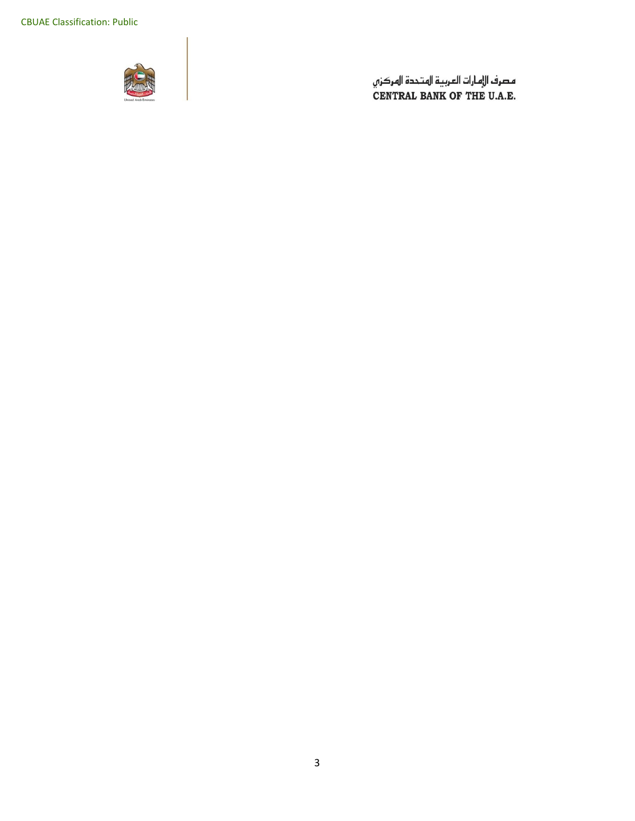

مصرف الإمارات العربية المتحدة المركزي CENTRAL BANK OF THE U.A.E.